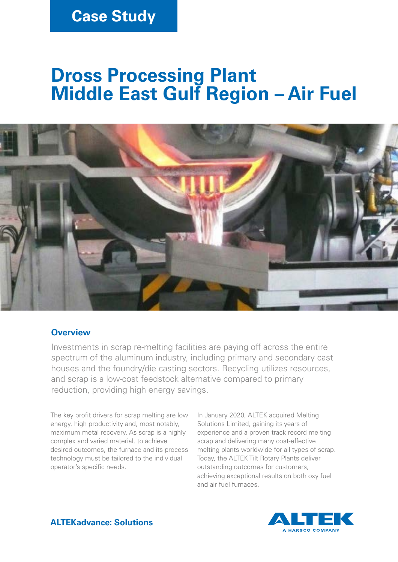# **Case Study**

# **Dross Processing Plant Middle East Gulf Region – Air Fuel**



#### **Overview**

Investments in scrap re-melting facilities are paying off across the entire spectrum of the aluminum industry, including primary and secondary cast houses and the foundry/die casting sectors. Recycling utilizes resources, and scrap is a low-cost feedstock alternative compared to primary reduction, providing high energy savings.

The key profit drivers for scrap melting are low energy, high productivity and, most notably, maximum metal recovery. As scrap is a highly complex and varied material, to achieve desired outcomes, the furnace and its process technology must be tailored to the individual operator's specific needs.

In January 2020, ALTEK acquired Melting Solutions Limited, gaining its years of experience and a proven track record melting scrap and delivering many cost-effective melting plants worldwide for all types of scrap. Today, the ALTEK Tilt Rotary Plants deliver outstanding outcomes for customers, achieving exceptional results on both oxy fuel and air fuel furnaces.



**ALTEKadvance: Solutions**